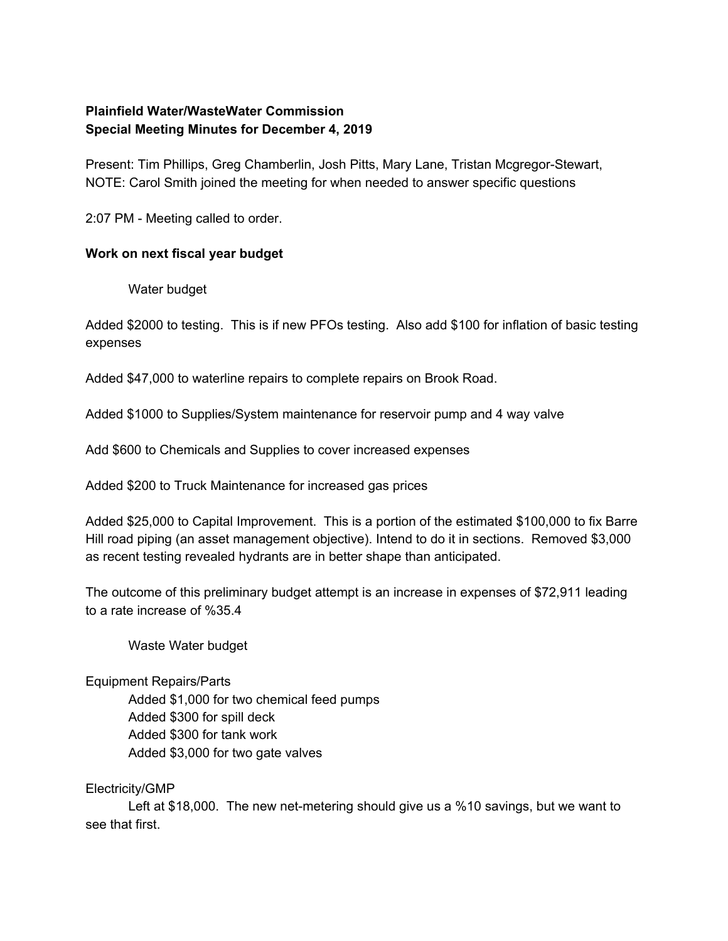# **Plainfield Water/WasteWater Commission Special Meeting Minutes for December 4, 2019**

Present: Tim Phillips, Greg Chamberlin, Josh Pitts, Mary Lane, Tristan Mcgregor-Stewart, NOTE: Carol Smith joined the meeting for when needed to answer specific questions

2:07 PM - Meeting called to order.

# **Work on next fiscal year budget**

Water budget

Added \$2000 to testing. This is if new PFOs testing. Also add \$100 for inflation of basic testing expenses

Added \$47,000 to waterline repairs to complete repairs on Brook Road.

Added \$1000 to Supplies/System maintenance for reservoir pump and 4 way valve

Add \$600 to Chemicals and Supplies to cover increased expenses

Added \$200 to Truck Maintenance for increased gas prices

Added \$25,000 to Capital Improvement. This is a portion of the estimated \$100,000 to fix Barre Hill road piping (an asset management objective). Intend to do it in sections. Removed \$3,000 as recent testing revealed hydrants are in better shape than anticipated.

The outcome of this preliminary budget attempt is an increase in expenses of \$72,911 leading to a rate increase of %35.4

Waste Water budget

Equipment Repairs/Parts

Added \$1,000 for two chemical feed pumps Added \$300 for spill deck Added \$300 for tank work Added \$3,000 for two gate valves

## Electricity/GMP

Left at \$18,000. The new net-metering should give us a %10 savings, but we want to see that first.